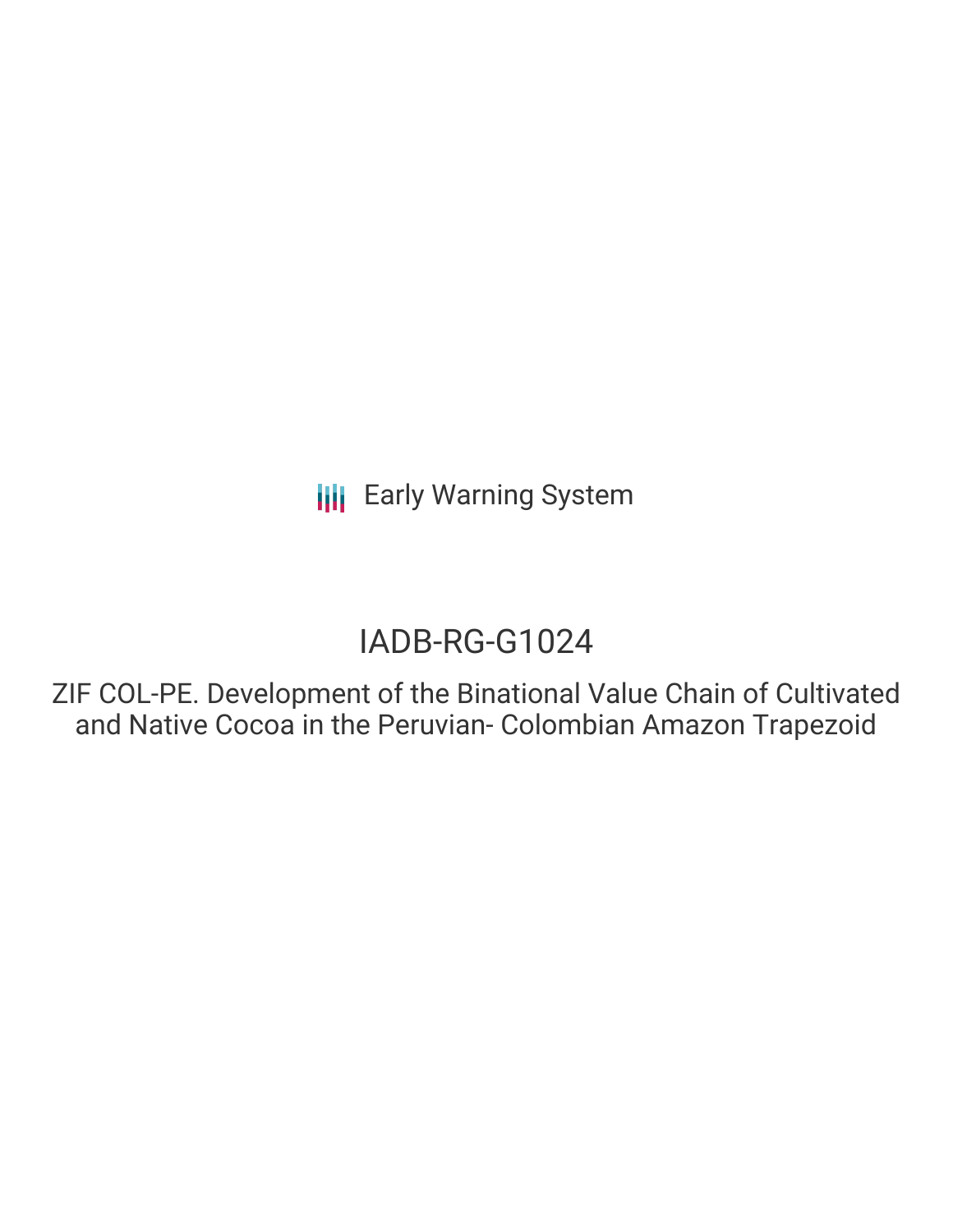**III** Early Warning System

### IADB-RG-G1024

ZIF COL-PE. Development of the Binational Value Chain of Cultivated and Native Cocoa in the Peruvian- Colombian Amazon Trapezoid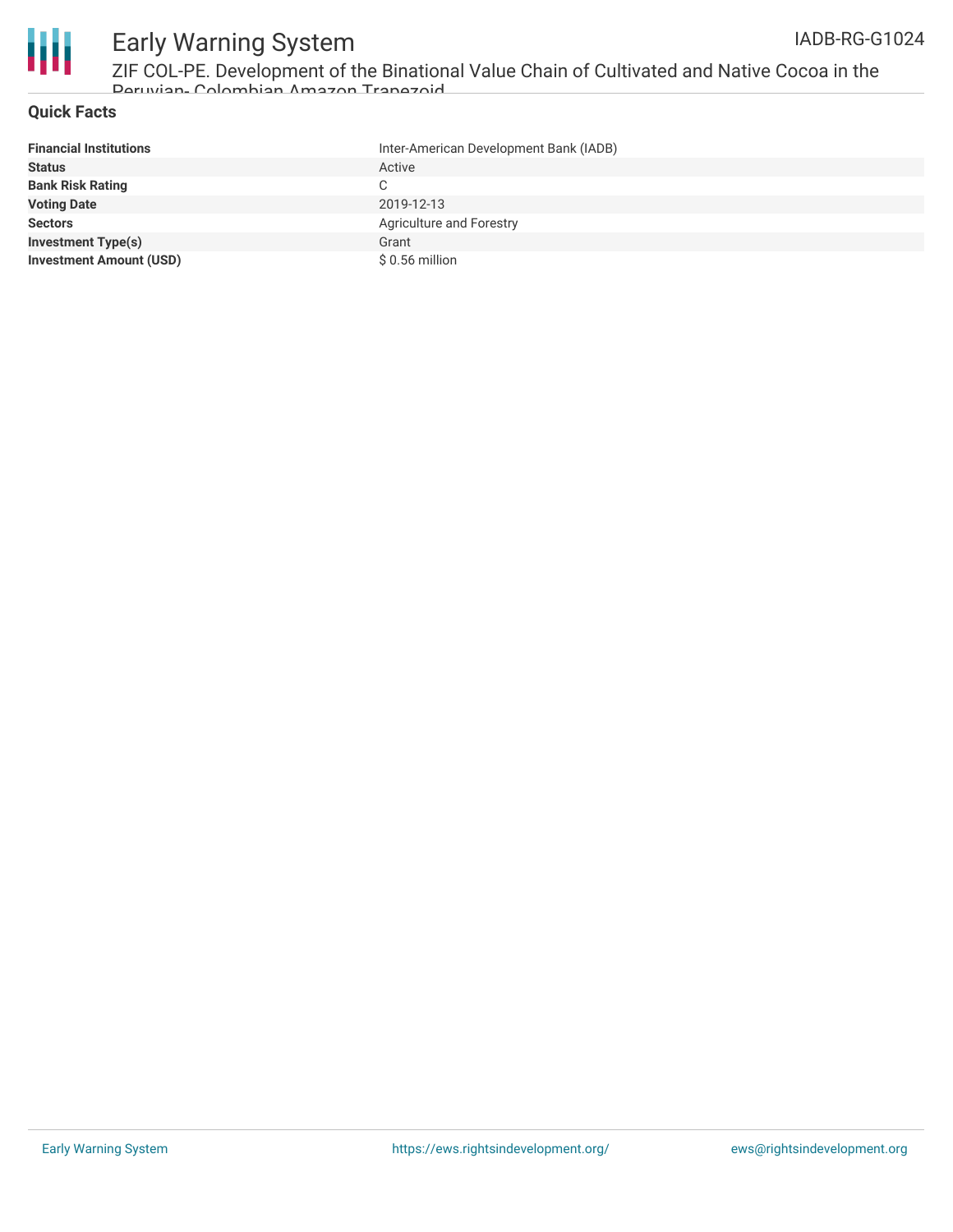

# Early Warning System

ZIF COL-PE. Development of the Binational Value Chain of Cultivated and Native Cocoa in the Peruvian- Colombian Amazon Trapezoid

#### **Quick Facts**

| <b>Financial Institutions</b>  | Inter-American Development Bank (IADB) |
|--------------------------------|----------------------------------------|
| <b>Status</b>                  | Active                                 |
| <b>Bank Risk Rating</b>        | C.                                     |
| <b>Voting Date</b>             | 2019-12-13                             |
| <b>Sectors</b>                 | <b>Agriculture and Forestry</b>        |
| <b>Investment Type(s)</b>      | Grant                                  |
| <b>Investment Amount (USD)</b> | \$ 0.56 million                        |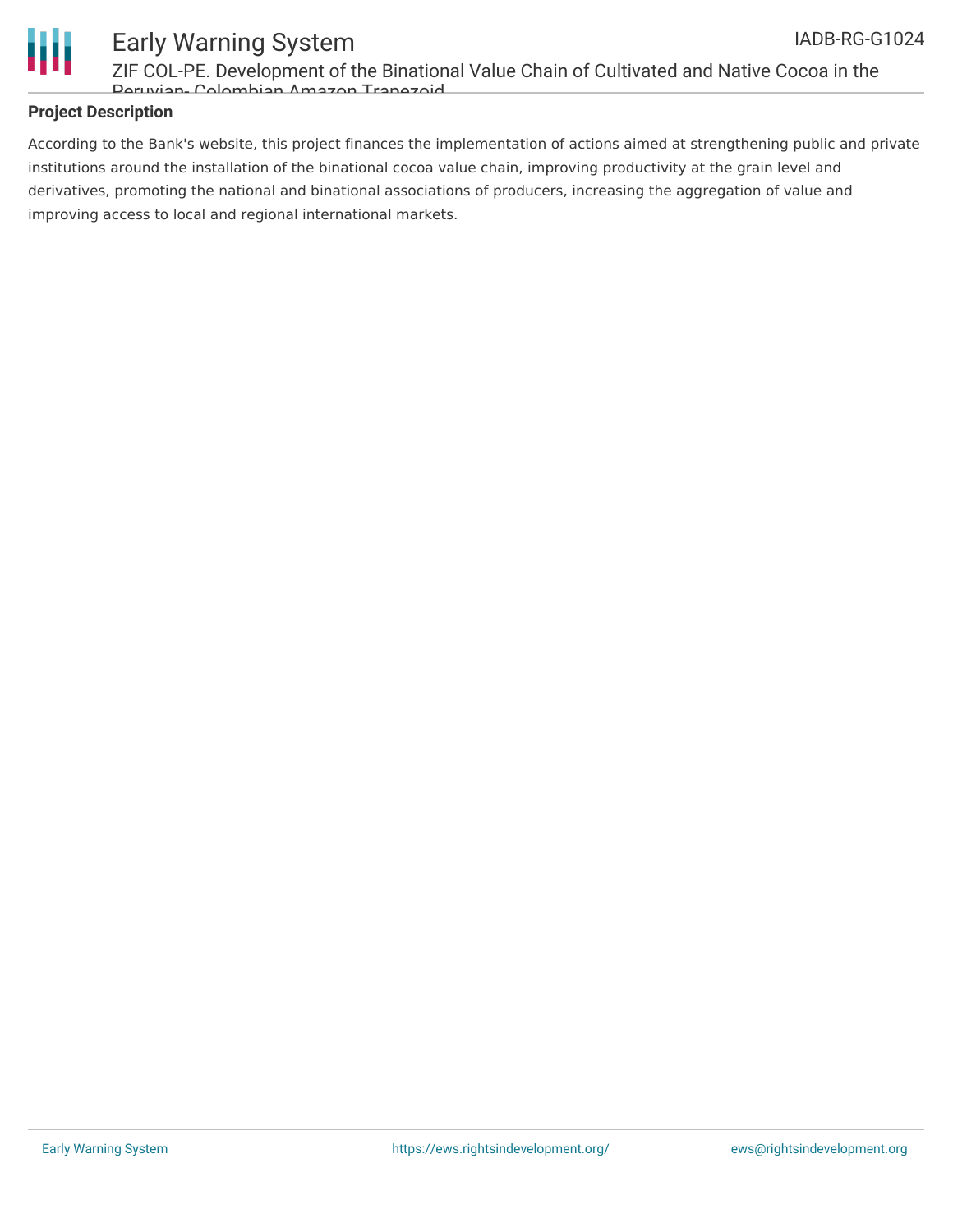



## Early Warning System

ZIF COL-PE. Development of the Binational Value Chain of Cultivated and Native Cocoa in the Peruvian- Colombian Amazon Trapezoid

#### **Project Description**

According to the Bank's website, this project finances the implementation of actions aimed at strengthening public and private institutions around the installation of the binational cocoa value chain, improving productivity at the grain level and derivatives, promoting the national and binational associations of producers, increasing the aggregation of value and improving access to local and regional international markets.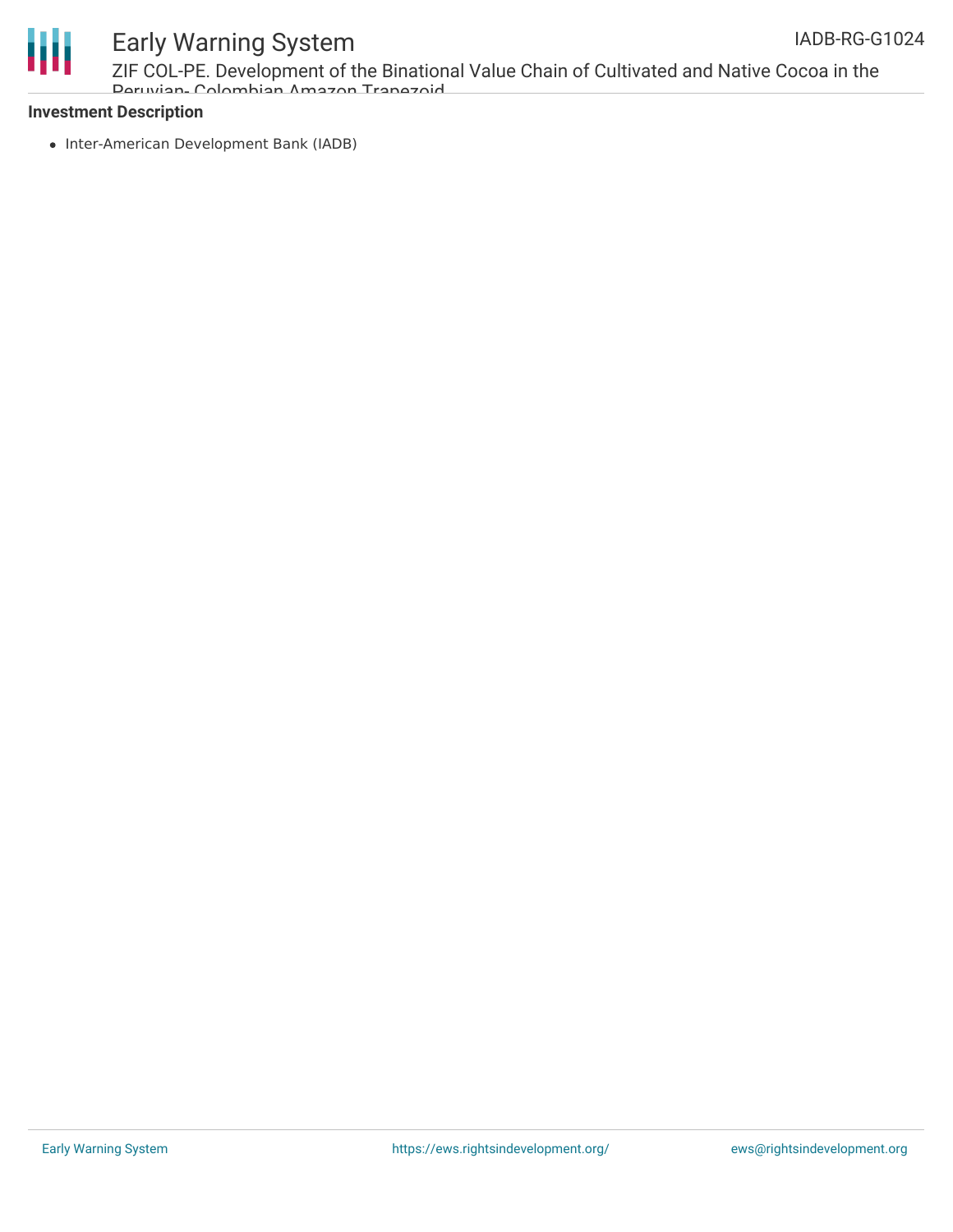

### Early Warning System

ZIF COL-PE. Development of the Binational Value Chain of Cultivated and Native Cocoa in the Peruvian- Colombian Amazon Trapezoid

#### **Investment Description**

• Inter-American Development Bank (IADB)